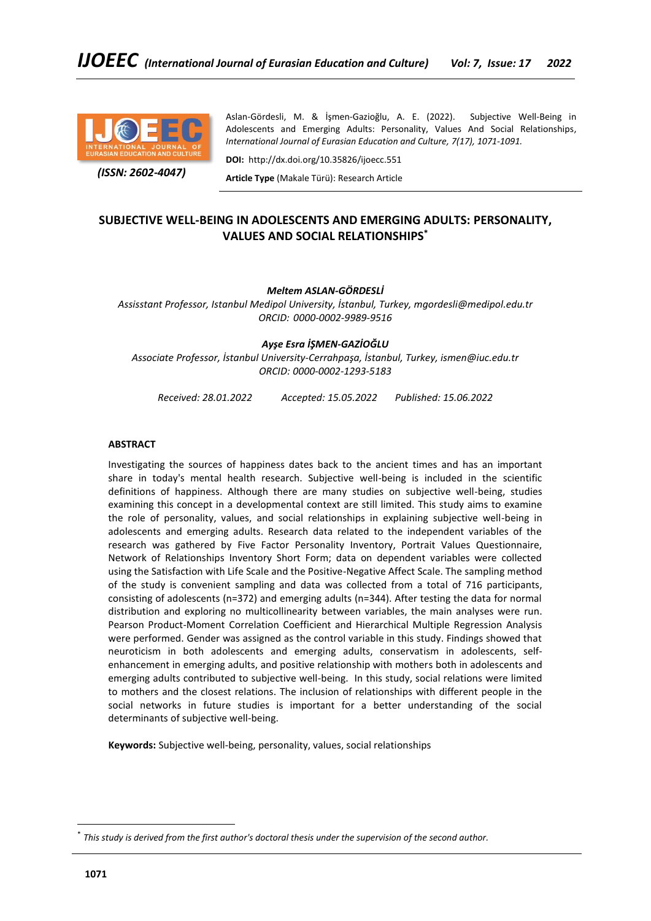

 *(ISSN: 2602-4047)*

Aslan-Gördesli, M. & İşmen-Gazioğlu, A. E. (2022). Subjective Well-Being in Adolescents and Emerging Adults: Personality, Values And Social Relationships, *International Journal of Eurasian Education and Culture, 7(17), 1071-1091.*

**DOI:** http://dx.doi.org/10.35826/ijoecc.551

**Article Type** (Makale Türü): Research Article

# **SUBJECTIVE WELL-BEING IN ADOLESCENTS AND EMERGING ADULTS: PERSONALITY, VALUES AND SOCIAL RELATIONSHIPS\***

# *Meltem ASLAN-GÖRDESLİ*

*Assisstant Professor, Istanbul Medipol University, İstanbul, Turkey, mgordesli@medipol.edu.tr ORCID: 0000-0002-9989-9516*

## *Ayşe Esra İŞMEN-GAZİOĞLU*

*Associate Professor, İstanbul University-Cerrahpaşa, İstanbul, Turkey, ismen@iuc.edu.tr ORCID: [0000-0002-1293-5183](https://orcid.org/0000-0002-1293-5183)*

*Received: 28.01.2022 Accepted: 15.05.2022 Published: 15.06.2022*

## **ABSTRACT**

Investigating the sources of happiness dates back to the ancient times and has an important share in today's mental health research. Subjective well-being is included in the scientific definitions of happiness. Although there are many studies on subjective well-being, studies examining this concept in a developmental context are still limited. This study aims to examine the role of personality, values, and social relationships in explaining subjective well-being in adolescents and emerging adults. Research data related to the independent variables of the research was gathered by Five Factor Personality Inventory, Portrait Values Questionnaire, Network of Relationships Inventory Short Form; data on dependent variables were collected using the Satisfaction with Life Scale and the Positive-Negative Affect Scale. The sampling method of the study is convenient sampling and data was collected from a total of 716 participants, consisting of adolescents (n=372) and emerging adults (n=344). After testing the data for normal distribution and exploring no multicollinearity between variables, the main analyses were run. Pearson Product-Moment Correlation Coefficient and Hierarchical Multiple Regression Analysis were performed. Gender was assigned as the control variable in this study. Findings showed that neuroticism in both adolescents and emerging adults, conservatism in adolescents, selfenhancement in emerging adults, and positive relationship with mothers both in adolescents and emerging adults contributed to subjective well-being. In this study, social relations were limited to mothers and the closest relations. The inclusion of relationships with different people in the social networks in future studies is important for a better understanding of the social determinants of subjective well-being.

**Keywords:** Subjective well-being, personality, values, social relationships

<sup>\*</sup> *This study is derived from the first author's doctoral thesis under the supervision of the second author.*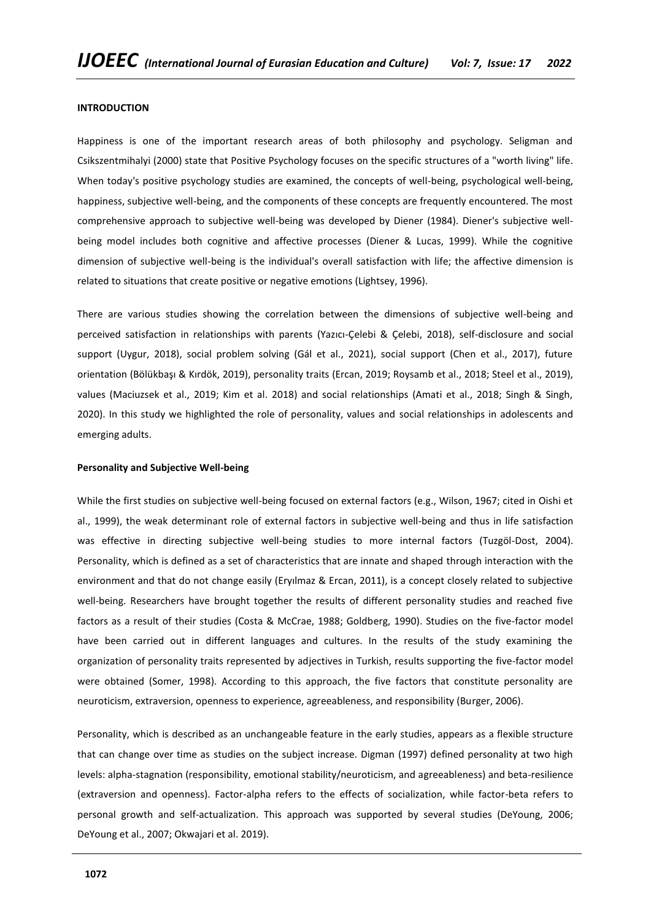## **INTRODUCTION**

Happiness is one of the important research areas of both philosophy and psychology. Seligman and Csikszentmihalyi (2000) state that Positive Psychology focuses on the specific structures of a "worth living" life. When today's positive psychology studies are examined, the concepts of well-being, psychological well-being, happiness, subjective well-being, and the components of these concepts are frequently encountered. The most comprehensive approach to subjective well-being was developed by Diener (1984). Diener's subjective wellbeing model includes both cognitive and affective processes (Diener & Lucas, 1999). While the cognitive dimension of subjective well-being is the individual's overall satisfaction with life; the affective dimension is related to situations that create positive or negative emotions (Lightsey, 1996).

There are various studies showing the correlation between the dimensions of subjective well-being and perceived satisfaction in relationships with parents (Yazıcı-Çelebi & Çelebi, 2018), self-disclosure and social support (Uygur, 2018), social problem solving (Gál et al., 2021), social support (Chen et al., 2017), future orientation (Bölükbaşı & Kırdök, 2019), personality traits (Ercan, 2019; Roysamb et al., 2018; Steel et al., 2019), values (Maciuzsek et al., 2019; Kim et al. 2018) and social relationships (Amati et al., 2018; Singh & Singh, 2020). In this study we highlighted the role of personality, values and social relationships in adolescents and emerging adults.

#### **Personality and Subjective Well-being**

While the first studies on subjective well-being focused on external factors (e.g., Wilson, 1967; cited in Oishi et al., 1999), the weak determinant role of external factors in subjective well-being and thus in life satisfaction was effective in directing subjective well-being studies to more internal factors (Tuzgöl-Dost, 2004). Personality, which is defined as a set of characteristics that are innate and shaped through interaction with the environment and that do not change easily (Eryılmaz & Ercan, 2011), is a concept closely related to subjective well-being. Researchers have brought together the results of different personality studies and reached five factors as a result of their studies (Costa & McCrae, 1988; Goldberg, 1990). Studies on the five-factor model have been carried out in different languages and cultures. In the results of the study examining the organization of personality traits represented by adjectives in Turkish, results supporting the five-factor model were obtained (Somer, 1998). According to this approach, the five factors that constitute personality are neuroticism, extraversion, openness to experience, agreeableness, and responsibility (Burger, 2006).

Personality, which is described as an unchangeable feature in the early studies, appears as a flexible structure that can change over time as studies on the subject increase. Digman (1997) defined personality at two high levels: alpha-stagnation (responsibility, emotional stability/neuroticism, and agreeableness) and beta-resilience (extraversion and openness). Factor-alpha refers to the effects of socialization, while factor-beta refers to personal growth and self-actualization. This approach was supported by several studies (DeYoung, 2006; DeYoung et al., 2007; Okwajari et al. 2019).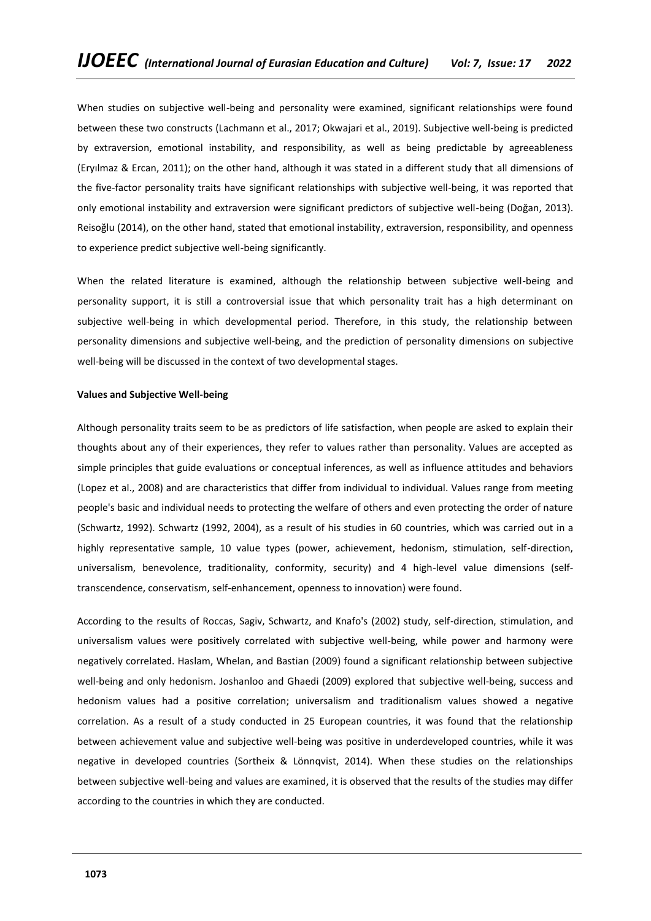When studies on subjective well-being and personality were examined, significant relationships were found between these two constructs (Lachmann et al., 2017; Okwajari et al., 2019). Subjective well-being is predicted by extraversion, emotional instability, and responsibility, as well as being predictable by agreeableness (Eryılmaz & Ercan, 2011); on the other hand, although it was stated in a different study that all dimensions of the five-factor personality traits have significant relationships with subjective well-being, it was reported that only emotional instability and extraversion were significant predictors of subjective well-being (Doğan, 2013). Reisoğlu (2014), on the other hand, stated that emotional instability, extraversion, responsibility, and openness to experience predict subjective well-being significantly.

When the related literature is examined, although the relationship between subjective well-being and personality support, it is still a controversial issue that which personality trait has a high determinant on subjective well-being in which developmental period. Therefore, in this study, the relationship between personality dimensions and subjective well-being, and the prediction of personality dimensions on subjective well-being will be discussed in the context of two developmental stages.

## **Values and Subjective Well-being**

Although personality traits seem to be as predictors of life satisfaction, when people are asked to explain their thoughts about any of their experiences, they refer to values rather than personality. Values are accepted as simple principles that guide evaluations or conceptual inferences, as well as influence attitudes and behaviors (Lopez et al., 2008) and are characteristics that differ from individual to individual. Values range from meeting people's basic and individual needs to protecting the welfare of others and even protecting the order of nature (Schwartz, 1992). Schwartz (1992, 2004), as a result of his studies in 60 countries, which was carried out in a highly representative sample, 10 value types (power, achievement, hedonism, stimulation, self-direction, universalism, benevolence, traditionality, conformity, security) and 4 high-level value dimensions (selftranscendence, conservatism, self-enhancement, openness to innovation) were found.

According to the results of Roccas, Sagiv, Schwartz, and Knafo's (2002) study, self-direction, stimulation, and universalism values were positively correlated with subjective well-being, while power and harmony were negatively correlated. Haslam, Whelan, and Bastian (2009) found a significant relationship between subjective well-being and only hedonism. Joshanloo and Ghaedi (2009) explored that subjective well-being, success and hedonism values had a positive correlation; universalism and traditionalism values showed a negative correlation. As a result of a study conducted in 25 European countries, it was found that the relationship between achievement value and subjective well-being was positive in underdeveloped countries, while it was negative in developed countries (Sortheix & Lönnqvist, 2014). When these studies on the relationships between subjective well-being and values are examined, it is observed that the results of the studies may differ according to the countries in which they are conducted.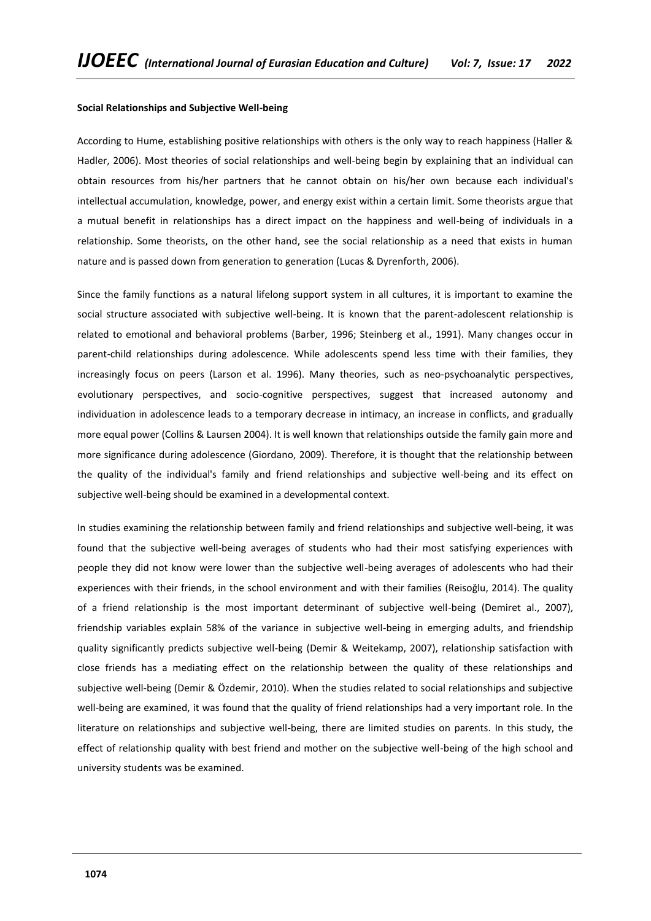#### **Social Relationships and Subjective Well-being**

According to Hume, establishing positive relationships with others is the only way to reach happiness (Haller & Hadler, 2006). Most theories of social relationships and well-being begin by explaining that an individual can obtain resources from his/her partners that he cannot obtain on his/her own because each individual's intellectual accumulation, knowledge, power, and energy exist within a certain limit. Some theorists argue that a mutual benefit in relationships has a direct impact on the happiness and well-being of individuals in a relationship. Some theorists, on the other hand, see the social relationship as a need that exists in human nature and is passed down from generation to generation (Lucas & Dyrenforth, 2006).

Since the family functions as a natural lifelong support system in all cultures, it is important to examine the social structure associated with subjective well-being. It is known that the parent-adolescent relationship is related to emotional and behavioral problems (Barber, 1996; Steinberg et al., 1991). Many changes occur in parent-child relationships during adolescence. While adolescents spend less time with their families, they increasingly focus on peers (Larson et al. 1996). Many theories, such as neo-psychoanalytic perspectives, evolutionary perspectives, and socio-cognitive perspectives, suggest that increased autonomy and individuation in adolescence leads to a temporary decrease in intimacy, an increase in conflicts, and gradually more equal power (Collins & Laursen 2004). It is well known that relationships outside the family gain more and more significance during adolescence (Giordano, 2009). Therefore, it is thought that the relationship between the quality of the individual's family and friend relationships and subjective well-being and its effect on subjective well-being should be examined in a developmental context.

In studies examining the relationship between family and friend relationships and subjective well-being, it was found that the subjective well-being averages of students who had their most satisfying experiences with people they did not know were lower than the subjective well-being averages of adolescents who had their experiences with their friends, in the school environment and with their families (Reisoğlu, 2014). The quality of a friend relationship is the most important determinant of subjective well-being (Demiret al., 2007), friendship variables explain 58% of the variance in subjective well-being in emerging adults, and friendship quality significantly predicts subjective well-being (Demir & Weitekamp, 2007), relationship satisfaction with close friends has a mediating effect on the relationship between the quality of these relationships and subjective well-being (Demir & Özdemir, 2010). When the studies related to social relationships and subjective well-being are examined, it was found that the quality of friend relationships had a very important role. In the literature on relationships and subjective well-being, there are limited studies on parents. In this study, the effect of relationship quality with best friend and mother on the subjective well-being of the high school and university students was be examined.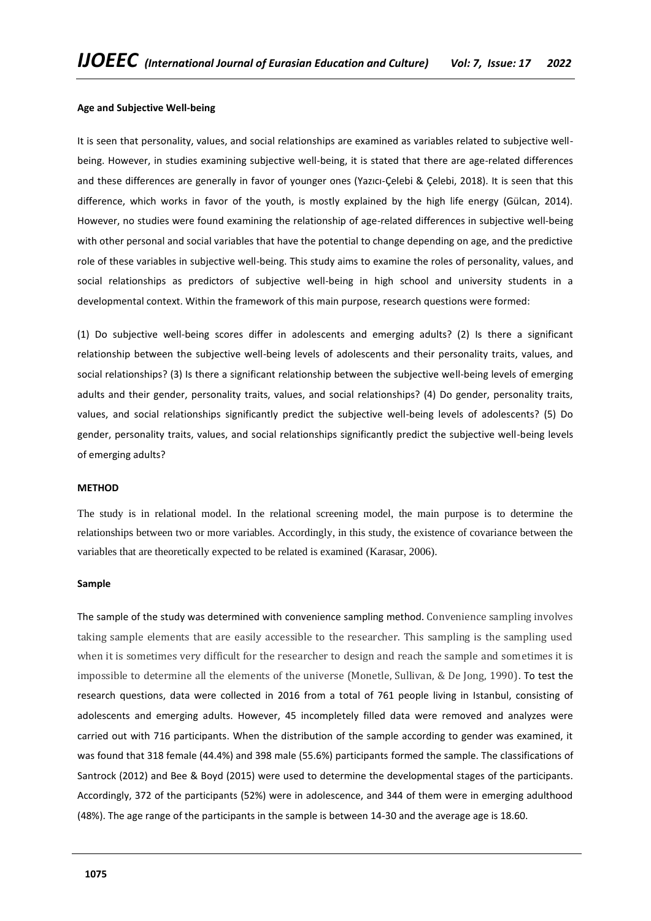#### **Age and Subjective Well-being**

It is seen that personality, values, and social relationships are examined as variables related to subjective wellbeing. However, in studies examining subjective well-being, it is stated that there are age-related differences and these differences are generally in favor of younger ones (Yazıcı-Çelebi & Çelebi, 2018). It is seen that this difference, which works in favor of the youth, is mostly explained by the high life energy (Gülcan, 2014). However, no studies were found examining the relationship of age-related differences in subjective well-being with other personal and social variables that have the potential to change depending on age, and the predictive role of these variables in subjective well-being. This study aims to examine the roles of personality, values, and social relationships as predictors of subjective well-being in high school and university students in a developmental context. Within the framework of this main purpose, research questions were formed:

(1) Do subjective well-being scores differ in adolescents and emerging adults? (2) Is there a significant relationship between the subjective well-being levels of adolescents and their personality traits, values, and social relationships? (3) Is there a significant relationship between the subjective well-being levels of emerging adults and their gender, personality traits, values, and social relationships? (4) Do gender, personality traits, values, and social relationships significantly predict the subjective well-being levels of adolescents? (5) Do gender, personality traits, values, and social relationships significantly predict the subjective well-being levels of emerging adults?

#### **METHOD**

The study is in relational model. In the relational screening model, the main purpose is to determine the relationships between two or more variables. Accordingly, in this study, the existence of covariance between the variables that are theoretically expected to be related is examined (Karasar, 2006).

#### **Sample**

The sample of the study was determined with convenience sampling method. Convenience sampling involves taking sample elements that are easily accessible to the researcher. This sampling is the sampling used when it is sometimes very difficult for the researcher to design and reach the sample and sometimes it is impossible to determine all the elements of the universe (Monetle, Sullivan, & De Jong, 1990). To test the research questions, data were collected in 2016 from a total of 761 people living in Istanbul, consisting of adolescents and emerging adults. However, 45 incompletely filled data were removed and analyzes were carried out with 716 participants. When the distribution of the sample according to gender was examined, it was found that 318 female (44.4%) and 398 male (55.6%) participants formed the sample. The classifications of Santrock (2012) and Bee & Boyd (2015) were used to determine the developmental stages of the participants. Accordingly, 372 of the participants (52%) were in adolescence, and 344 of them were in emerging adulthood (48%). The age range of the participants in the sample is between 14-30 and the average age is 18.60.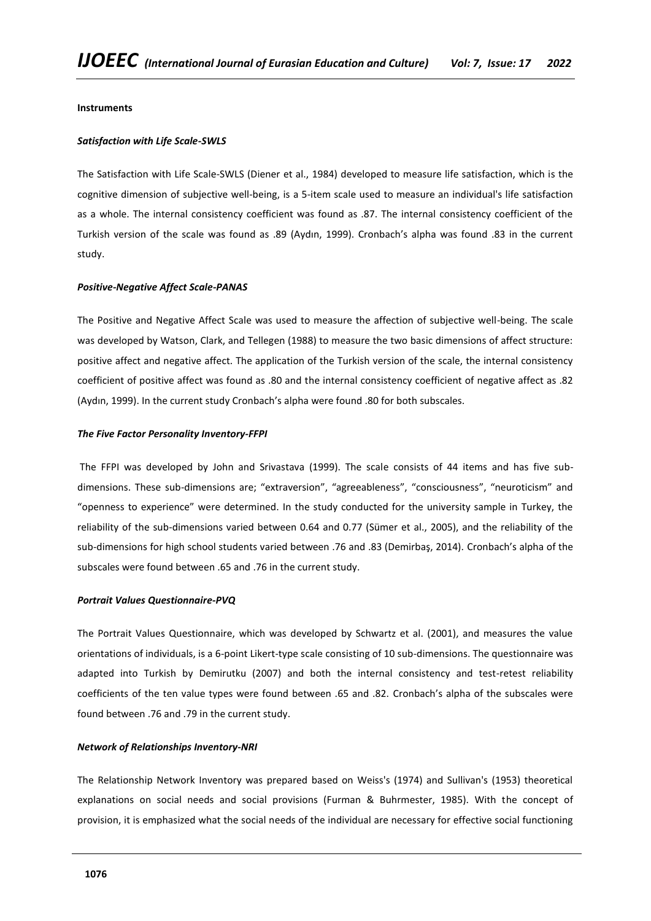## **Instruments**

## *Satisfaction with Life Scale-SWLS*

The Satisfaction with Life Scale-SWLS (Diener et al., 1984) developed to measure life satisfaction, which is the cognitive dimension of subjective well-being, is a 5-item scale used to measure an individual's life satisfaction as a whole. The internal consistency coefficient was found as .87. The internal consistency coefficient of the Turkish version of the scale was found as .89 (Aydın, 1999). Cronbach's alpha was found .83 in the current study.

## *Positive-Negative Affect Scale-PANAS*

The Positive and Negative Affect Scale was used to measure the affection of subjective well-being. The scale was developed by Watson, Clark, and Tellegen (1988) to measure the two basic dimensions of affect structure: positive affect and negative affect. The application of the Turkish version of the scale, the internal consistency coefficient of positive affect was found as .80 and the internal consistency coefficient of negative affect as .82 (Aydın, 1999). In the current study Cronbach's alpha were found .80 for both subscales.

## *The Five Factor Personality Inventory-FFPI*

The FFPI was developed by John and Srivastava (1999). The scale consists of 44 items and has five subdimensions. These sub-dimensions are; "extraversion", "agreeableness", "consciousness", "neuroticism" and "openness to experience" were determined. In the study conducted for the university sample in Turkey, the reliability of the sub-dimensions varied between 0.64 and 0.77 (Sümer et al., 2005), and the reliability of the sub-dimensions for high school students varied between .76 and .83 (Demirbaş, 2014). Cronbach's alpha of the subscales were found between .65 and .76 in the current study.

## *Portrait Values Questionnaire-PVQ*

The Portrait Values Questionnaire, which was developed by Schwartz et al. (2001), and measures the value orientations of individuals, is a 6-point Likert-type scale consisting of 10 sub-dimensions. The questionnaire was adapted into Turkish by Demirutku (2007) and both the internal consistency and test-retest reliability coefficients of the ten value types were found between .65 and .82. Cronbach's alpha of the subscales were found between .76 and .79 in the current study.

## *Network of Relationships Inventory-NRI*

The Relationship Network Inventory was prepared based on Weiss's (1974) and Sullivan's (1953) theoretical explanations on social needs and social provisions (Furman & Buhrmester, 1985). With the concept of provision, it is emphasized what the social needs of the individual are necessary for effective social functioning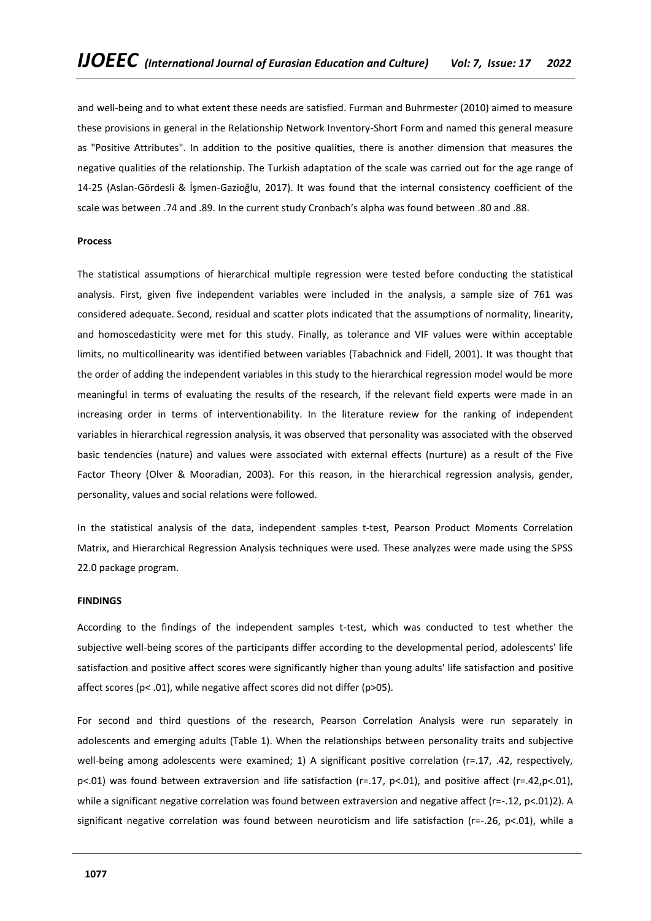and well-being and to what extent these needs are satisfied. Furman and Buhrmester (2010) aimed to measure these provisions in general in the Relationship Network Inventory-Short Form and named this general measure as "Positive Attributes". In addition to the positive qualities, there is another dimension that measures the negative qualities of the relationship. The Turkish adaptation of the scale was carried out for the age range of 14-25 (Aslan-Gördesli & İşmen-Gazioğlu, 2017). It was found that the internal consistency coefficient of the scale was between .74 and .89. In the current study Cronbach's alpha was found between .80 and .88.

## **Process**

The statistical assumptions of hierarchical multiple regression were tested before conducting the statistical analysis. First, given five independent variables were included in the analysis, a sample size of 761 was considered adequate. Second, residual and scatter plots indicated that the assumptions of normality, linearity, and homoscedasticity were met for this study. Finally, as tolerance and VIF values were within acceptable limits, no multicollinearity was identified between variables (Tabachnick and Fidell, 2001). It was thought that the order of adding the independent variables in this study to the hierarchical regression model would be more meaningful in terms of evaluating the results of the research, if the relevant field experts were made in an increasing order in terms of interventionability. In the literature review for the ranking of independent variables in hierarchical regression analysis, it was observed that personality was associated with the observed basic tendencies (nature) and values were associated with external effects (nurture) as a result of the Five Factor Theory (Olver & Mooradian, 2003). For this reason, in the hierarchical regression analysis, gender, personality, values and social relations were followed.

In the statistical analysis of the data, independent samples t-test, Pearson Product Moments Correlation Matrix, and Hierarchical Regression Analysis techniques were used. These analyzes were made using the SPSS 22.0 package program.

#### **FINDINGS**

According to the findings of the independent samples t-test, which was conducted to test whether the subjective well-being scores of the participants differ according to the developmental period, adolescents' life satisfaction and positive affect scores were significantly higher than young adults' life satisfaction and positive affect scores (p< .01), while negative affect scores did not differ (p>05).

For second and third questions of the research, Pearson Correlation Analysis were run separately in adolescents and emerging adults (Table 1). When the relationships between personality traits and subjective well-being among adolescents were examined; 1) A significant positive correlation (r=.17, .42, respectively, p<.01) was found between extraversion and life satisfaction (r=.17, p<.01), and positive affect (r=.42,p<.01), while a significant negative correlation was found between extraversion and negative affect (r=-.12, p<.01)2). A significant negative correlation was found between neuroticism and life satisfaction (r=-.26, p<.01), while a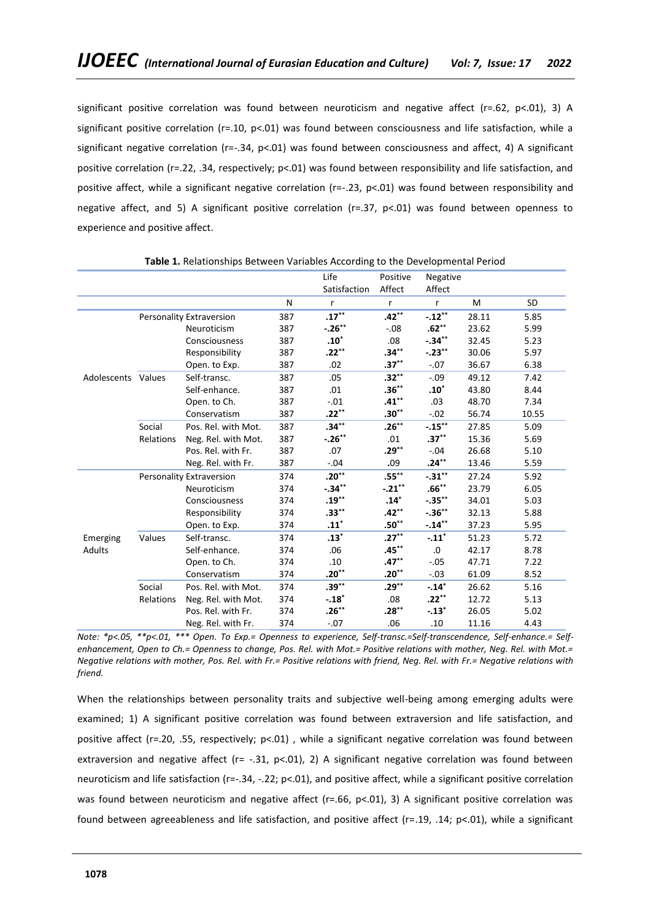significant positive correlation was found between neuroticism and negative affect (r=.62, p<.01), 3) A significant positive correlation (r=.10, p<.01) was found between consciousness and life satisfaction, while a significant negative correlation ( $r=-.34$ ,  $p<-.01$ ) was found between consciousness and affect, 4) A significant positive correlation (r=.22, .34, respectively; p<.01) was found between responsibility and life satisfaction, and positive affect, while a significant negative correlation (r=-.23, p<.01) was found between responsibility and negative affect, and 5) A significant positive correlation (r=.37, p<.01) was found between openness to experience and positive affect.

|                    |           |                          | Life |                   | Positive     | Negative            |       |           |
|--------------------|-----------|--------------------------|------|-------------------|--------------|---------------------|-------|-----------|
|                    |           |                          |      | Satisfaction      | Affect       | Affect              |       |           |
|                    |           |                          | N    | $\mathsf{r}$      | $\mathsf{r}$ | $\mathsf{r}$        | M     | <b>SD</b> |
|                    |           | Personality Extraversion | 387  | $.17***$          | $.42***$     | $-.12***$           | 28.11 | 5.85      |
|                    |           | Neuroticism              | 387  | $-.26**$          | $-.08$       | $.62**$             | 23.62 | 5.99      |
|                    |           | Consciousness            | 387  | $.10^*$           | .08          | $-.34**$            | 32.45 | 5.23      |
|                    |           | Responsibility           | 387  | $.22***$          | $.34***$     | $-.23**$            | 30.06 | 5.97      |
|                    |           | Open. to Exp.            | 387  | .02               | $.37***$     | $-.07$              | 36.67 | 6.38      |
| Adolescents Values |           | Self-transc.             | 387  | .05               | $.32**$      | $-.09$              | 49.12 | 7.42      |
|                    |           | Self-enhance.            | 387  | .01               | $.36***$     | $.10*$              | 43.80 | 8.44      |
|                    |           | Open. to Ch.             | 387  | $-.01$            | $.41***$     | .03                 | 48.70 | 7.34      |
|                    |           | Conservatism             | 387  | $.22***$          | $.30**$      | $-.02$              | 56.74 | 10.55     |
|                    | Social    | Pos. Rel. with Mot.      | 387  | $.34***$          | $.26***$     | $-.15***$           | 27.85 | 5.09      |
|                    | Relations | Neg. Rel. with Mot.      | 387  | $-.26***$         | .01          | $.37***$            | 15.36 | 5.69      |
|                    |           | Pos. Rel. with Fr.       | 387  | .07               | $.29***$     | $-.04$              | 26.68 | 5.10      |
|                    |           | Neg. Rel. with Fr.       | 387  | $-.04$            | .09          | $.24***$            | 13.46 | 5.59      |
|                    |           | Personality Extraversion | 374  | $.20***$          | $.55***$     | $-.31***$           | 27.24 | 5.92      |
|                    |           | Neuroticism              | 374  | $-.34**$          | $-.21***$    | $.66***$            | 23.79 | 6.05      |
|                    |           | Consciousness            | 374  | $.19***$          | $.14*$       | $-.35***$           | 34.01 | 5.03      |
|                    |           | Responsibility           | 374  | $.33***$          | .42**        | $-.36***$           | 32.13 | 5.88      |
|                    |           | Open. to Exp.            | 374  | $.11*$            | $.50**$      | $-.14**$            | 37.23 | 5.95      |
| Emerging           | Values    | Self-transc.             | 374  | $.13*$            | $.27***$     | $-.11$ <sup>*</sup> | 51.23 | 5.72      |
| Adults             |           | Self-enhance.            | 374  | .06               | $.45***$     | .0                  | 42.17 | 8.78      |
|                    |           | Open. to Ch.             | 374  | .10               | $.47***$     | $-.05$              | 47.71 | 7.22      |
|                    |           | Conservatism             | 374  | .20 $^{\ast\ast}$ | $.20***$     | $-.03$              | 61.09 | 8.52      |
|                    | Social    | Pos. Rel. with Mot.      | 374  | $.39***$          | $.29***$     | $-.14*$             | 26.62 | 5.16      |
|                    | Relations | Neg. Rel. with Mot.      | 374  | $-.18*$           | .08          | $.22***$            | 12.72 | 5.13      |
|                    |           | Pos. Rel. with Fr.       | 374  | $.26**$           | $.28***$     | $-.13*$             | 26.05 | 5.02      |
|                    |           | Neg. Rel. with Fr.       | 374  | $-.07$            | .06          | .10                 | 11.16 | 4.43      |

**Table 1.** Relationships Between Variables According to the Developmental Period

*Note: \*p<.05, \*\*p<.01, \*\*\* Open. To Exp.= Openness to experience, Self-transc.=Self-transcendence, Self-enhance.= Selfenhancement, Open to Ch.= Openness to change, Pos. Rel. with Mot.= Positive relations with mother, Neg. Rel. with Mot.= Negative relations with mother, Pos. Rel. with Fr.= Positive relations with friend, Neg. Rel. with Fr.= Negative relations with friend.* 

When the relationships between personality traits and subjective well-being among emerging adults were examined; 1) A significant positive correlation was found between extraversion and life satisfaction, and positive affect (r=.20, .55, respectively; p<.01) , while a significant negative correlation was found between extraversion and negative affect (r= -.31, p<.01), 2) A significant negative correlation was found between neuroticism and life satisfaction ( $r=-.34$ ,  $-.22$ ;  $p<.01$ ), and positive affect, while a significant positive correlation was found between neuroticism and negative affect (r=.66, p<.01), 3) A significant positive correlation was found between agreeableness and life satisfaction, and positive affect (r=.19, .14; p<.01), while a significant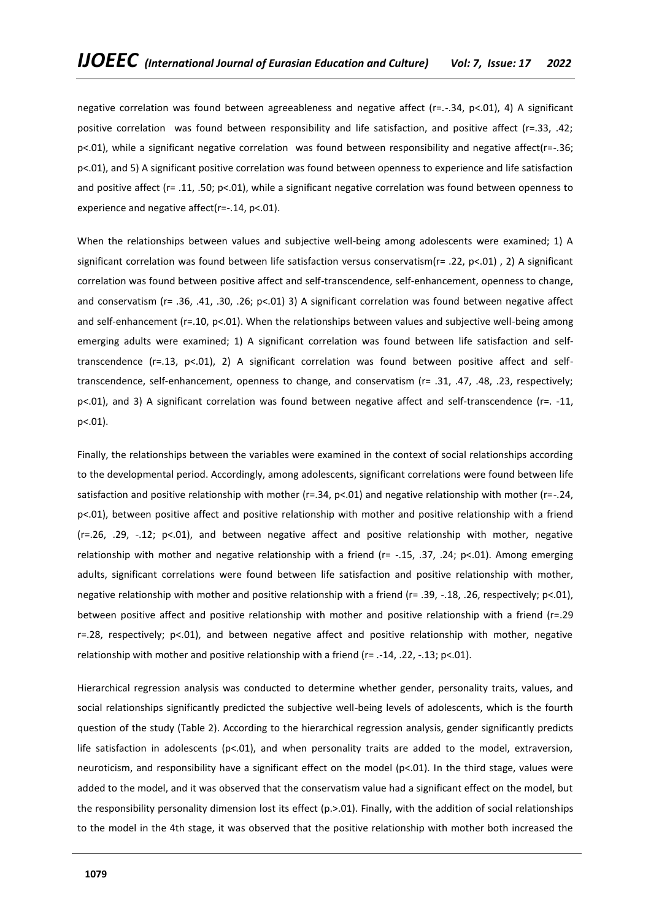negative correlation was found between agreeableness and negative affect (r=.-.34, p<.01), 4) A significant positive correlation was found between responsibility and life satisfaction, and positive affect (r=.33, .42; p<.01), while a significant negative correlation was found between responsibility and negative affect(r=-.36; p<.01), and 5) A significant positive correlation was found between openness to experience and life satisfaction and positive affect (r= .11, .50; p<.01), while a significant negative correlation was found between openness to experience and negative affect(r=-.14, p<.01).

When the relationships between values and subjective well-being among adolescents were examined; 1) A significant correlation was found between life satisfaction versus conservatism(r= .22, p<.01) , 2) A significant correlation was found between positive affect and self-transcendence, self-enhancement, openness to change, and conservatism (r= .36, .41, .30, .26; p<.01) 3) A significant correlation was found between negative affect and self-enhancement ( $r=10$ ,  $p<01$ ). When the relationships between values and subjective well-being among emerging adults were examined; 1) A significant correlation was found between life satisfaction and selftranscendence (r=.13, p<.01), 2) A significant correlation was found between positive affect and selftranscendence, self-enhancement, openness to change, and conservatism (r= .31, .47, .48, .23, respectively; p<.01), and 3) A significant correlation was found between negative affect and self-transcendence (r=. -11, p<.01).

Finally, the relationships between the variables were examined in the context of social relationships according to the developmental period. Accordingly, among adolescents, significant correlations were found between life satisfaction and positive relationship with mother ( $r=.34$ ,  $p<.01$ ) and negative relationship with mother ( $r=-.24$ , p<.01), between positive affect and positive relationship with mother and positive relationship with a friend  $(r=0.26, 0.29, -0.12; p<0.01)$ , and between negative affect and positive relationship with mother, negative relationship with mother and negative relationship with a friend (r= -.15, .37, .24; p<.01). Among emerging adults, significant correlations were found between life satisfaction and positive relationship with mother, negative relationship with mother and positive relationship with a friend (r= .39, -.18, .26, respectively; p<.01), between positive affect and positive relationship with mother and positive relationship with a friend (r=.29 r=.28, respectively; p<.01), and between negative affect and positive relationship with mother, negative relationship with mother and positive relationship with a friend (r= .-14, .22, -.13; p<.01).

Hierarchical regression analysis was conducted to determine whether gender, personality traits, values, and social relationships significantly predicted the subjective well-being levels of adolescents, which is the fourth question of the study (Table 2). According to the hierarchical regression analysis, gender significantly predicts life satisfaction in adolescents ( $p<01$ ), and when personality traits are added to the model, extraversion, neuroticism, and responsibility have a significant effect on the model (p<.01). In the third stage, values were added to the model, and it was observed that the conservatism value had a significant effect on the model, but the responsibility personality dimension lost its effect (p.>.01). Finally, with the addition of social relationships to the model in the 4th stage, it was observed that the positive relationship with mother both increased the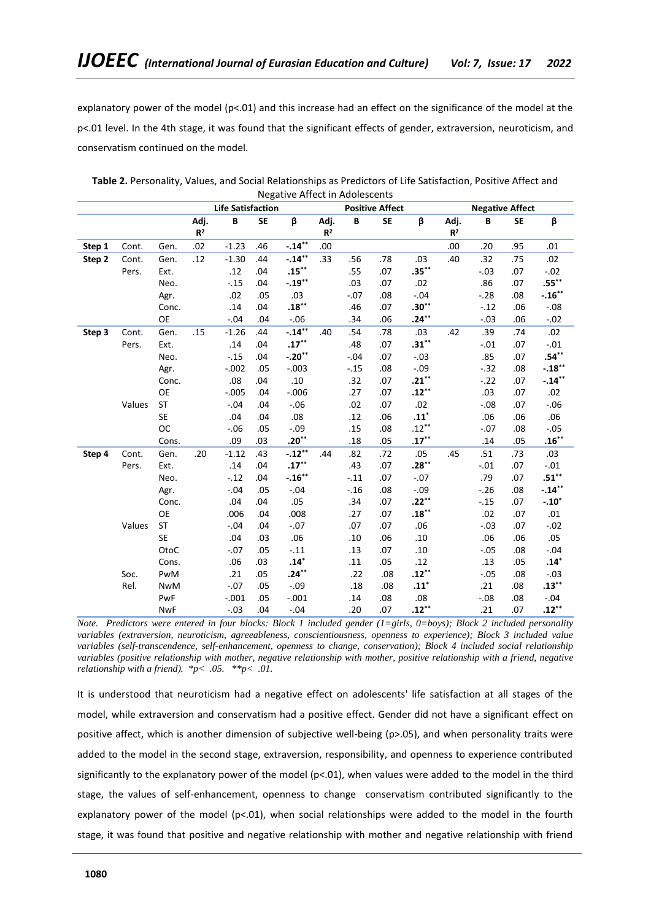explanatory power of the model (p<.01) and this increase had an effect on the significance of the model at the p<.01 level. In the 4th stage, it was found that the significant effects of gender, extraversion, neuroticism, and conservatism continued on the model.

|        |        |            |                          |         | ס~י       |            |                        |        |                        |                    |                        |        |           |          |  |
|--------|--------|------------|--------------------------|---------|-----------|------------|------------------------|--------|------------------------|--------------------|------------------------|--------|-----------|----------|--|
|        |        |            | <b>Life Satisfaction</b> |         |           |            |                        |        | <b>Positive Affect</b> |                    | <b>Negative Affect</b> |        |           |          |  |
|        |        |            | Adj.<br>R <sup>2</sup>   | B       | <b>SE</b> | β          | Adj.<br>R <sup>2</sup> | В      | SE                     | β                  | Adj.<br>R <sup>2</sup> | В      | <b>SE</b> | β        |  |
| Step 1 | Cont.  | Gen.       | .02                      | $-1.23$ | .46       | $-.14**$   | .00                    |        |                        |                    | .00                    | .20    | .95       | .01      |  |
| Step 2 | Cont.  | Gen.       | .12                      | $-1.30$ | .44       | $-.14**$   | .33                    | .56    | .78                    | .03                | .40                    | .32    | .75       | .02      |  |
|        | Pers.  | Ext.       |                          | .12     | .04       | $.15***$   |                        | .55    | .07                    | $.35***$           |                        | $-.03$ | .07       | $-.02$   |  |
|        |        | Neo.       |                          | $-.15$  | .04       | $-.19***$  |                        | .03    | .07                    | .02                |                        | .86    | .07       | $.55***$ |  |
|        |        | Agr.       |                          | .02     | .05       | .03        |                        | $-.07$ | .08                    | $-.04$             |                        | $-.28$ | .08       | $-.16**$ |  |
|        |        | Conc.      |                          | .14     | .04       | $.18***$   |                        | .46    | .07                    | $.30**$            |                        | $-.12$ | .06       | $-.08$   |  |
|        |        | <b>OE</b>  |                          | $-.04$  | .04       | $-.06$     |                        | .34    | .06                    | $.24***$           |                        | $-.03$ | .06       | $-.02$   |  |
| Step 3 | Cont.  | Gen.       | .15                      | $-1.26$ | .44       | $-0.14***$ | .40                    | .54    | .78                    | .03                | .42                    | .39    | .74       | .02      |  |
|        | Pers.  | Ext.       |                          | .14     | .04       | $.17***$   |                        | .48    | .07                    | $.31***$           |                        | $-.01$ | .07       | $-.01$   |  |
|        |        | Neo.       |                          | $-.15$  | .04       | $-.20**$   |                        | $-.04$ | .07                    | $-.03$             |                        | .85    | .07       | $.54***$ |  |
|        |        | Agr.       |                          | $-.002$ | .05       | $-.003$    |                        | $-.15$ | .08                    | $-.09$             |                        | $-.32$ | .08       | $-.18**$ |  |
|        |        | Conc.      |                          | .08     | .04       | .10        |                        | .32    | .07                    | $.21***$           |                        | $-.22$ | .07       | $-.14**$ |  |
|        |        | OE         |                          | $-.005$ | .04       | $-0.006$   |                        | .27    | .07                    | $.12***$           |                        | .03    | .07       | .02      |  |
|        | Values | <b>ST</b>  |                          | $-.04$  | .04       | $-.06$     |                        | .02    | .07                    | .02                |                        | $-.08$ | .07       | $-.06$   |  |
|        |        | <b>SE</b>  |                          | .04     | .04       | .08        |                        | .12    | .06                    | $.11$ <sup>*</sup> |                        | .06    | .06       | .06      |  |
|        |        | <b>OC</b>  |                          | $-.06$  | .05       | $-.09$     |                        | .15    | .08                    | $.12***$           |                        | $-.07$ | .08       | $-.05$   |  |
|        |        | Cons.      |                          | .09     | .03       | $.20***$   |                        | .18    | .05                    | $.17***$           |                        | .14    | .05       | $.16***$ |  |
| Step 4 | Cont.  | Gen.       | .20                      | $-1.12$ | .43       | $-.12***$  | .44                    | .82    | .72                    | .05                | .45                    | .51    | .73       | .03      |  |
|        | Pers.  | Ext.       |                          | .14     | .04       | $.17***$   |                        | .43    | .07                    | $.28***$           |                        | $-.01$ | .07       | $-.01$   |  |
|        |        | Neo.       |                          | $-.12$  | .04       | $-.16***$  |                        | $-.11$ | .07                    | $-.07$             |                        | .79    | .07       | $.51***$ |  |
|        |        | Agr.       |                          | $-.04$  | .05       | $-.04$     |                        | $-.16$ | .08                    | $-.09$             |                        | $-.26$ | .08       | $-.14**$ |  |
|        |        | Conc.      |                          | .04     | .04       | .05        |                        | .34    | .07                    | $.22***$           |                        | $-.15$ | .07       | $-.10*$  |  |
|        |        | <b>OE</b>  |                          | .006    | .04       | .008       |                        | .27    | .07                    | $.18***$           |                        | .02    | .07       | .01      |  |
|        | Values | ST         |                          | $-.04$  | .04       | $-.07$     |                        | .07    | .07                    | .06                |                        | $-.03$ | .07       | $-.02$   |  |
|        |        | <b>SE</b>  |                          | .04     | .03       | .06        |                        | .10    | .06                    | .10                |                        | .06    | .06       | .05      |  |
|        |        | OtoC       |                          | $-.07$  | .05       | $-.11$     |                        | .13    | .07                    | .10                |                        | $-.05$ | .08       | $-.04$   |  |
|        |        | Cons.      |                          | .06     | .03       | $.14*$     |                        | .11    | .05                    | .12                |                        | .13    | .05       | $.14*$   |  |
|        | Soc.   | PwM        |                          | .21     | .05       | $.24***$   |                        | .22    | .08                    | $.12***$           |                        | $-.05$ | .08       | $-.03$   |  |
|        | Rel.   | <b>NwM</b> |                          | $-.07$  | .05       | $-.09$     |                        | .18    | .08                    | $.11*$             |                        | .21    | .08       | $.13***$ |  |
|        |        | PwF        |                          | $-.001$ | .05       | $-.001$    |                        | .14    | .08                    | .08                |                        | $-.08$ | .08       | $-.04$   |  |
|        |        | <b>NwF</b> |                          | $-.03$  | .04       | $-.04$     |                        | .20    | .07                    | $.12***$           |                        | .21    | .07       | $.12***$ |  |

**Table 2.** Personality, Values, and Social Relationships as Predictors of Life Satisfaction, Positive Affect and Negative Affect in Adolescents

*Note. Predictors were entered in four blocks: Block 1 included gender (1=girls, 0=boys); Block 2 included personality variables (extraversion, neuroticism, agreeableness, conscientiousness, openness to experience); Block 3 included value variables (self-transcendence, self-enhancement, openness to change, conservation); Block 4 included social relationship variables (positive relationship with mother, negative relationship with mother, positive relationship with a friend, negative relationship with a friend). \*p< .05. \*\*p< .01.*

It is understood that neuroticism had a negative effect on adolescents' life satisfaction at all stages of the model, while extraversion and conservatism had a positive effect. Gender did not have a significant effect on positive affect, which is another dimension of subjective well-being (p>.05), and when personality traits were added to the model in the second stage, extraversion, responsibility, and openness to experience contributed significantly to the explanatory power of the model (p<.01), when values were added to the model in the third stage, the values of self-enhancement, openness to change conservatism contributed significantly to the explanatory power of the model (p<.01), when social relationships were added to the model in the fourth stage, it was found that positive and negative relationship with mother and negative relationship with friend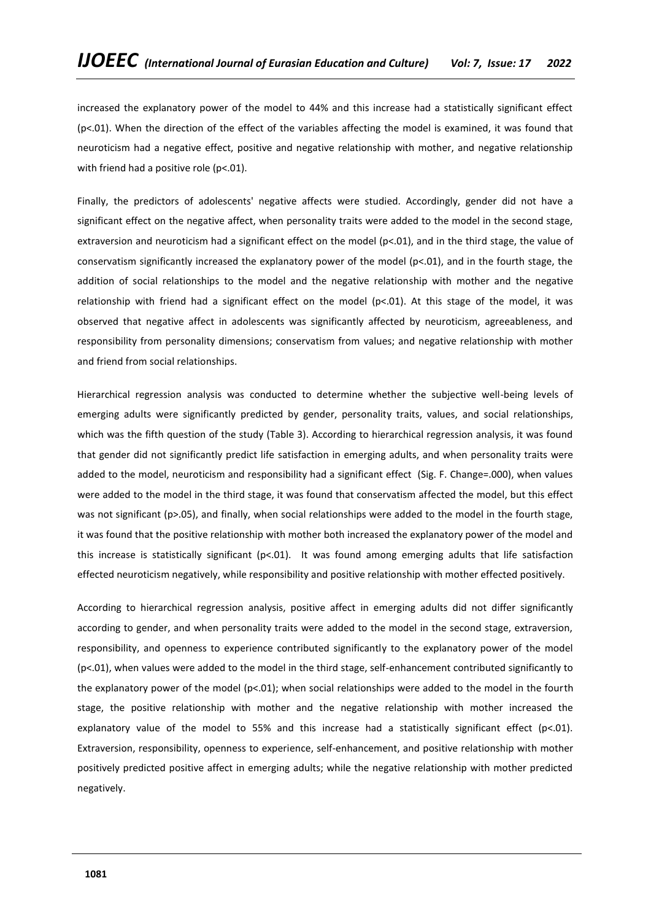increased the explanatory power of the model to 44% and this increase had a statistically significant effect (p<.01). When the direction of the effect of the variables affecting the model is examined, it was found that neuroticism had a negative effect, positive and negative relationship with mother, and negative relationship with friend had a positive role (p<.01).

Finally, the predictors of adolescents' negative affects were studied. Accordingly, gender did not have a significant effect on the negative affect, when personality traits were added to the model in the second stage, extraversion and neuroticism had a significant effect on the model (p<.01), and in the third stage, the value of conservatism significantly increased the explanatory power of the model (p<.01), and in the fourth stage, the addition of social relationships to the model and the negative relationship with mother and the negative relationship with friend had a significant effect on the model (p<.01). At this stage of the model, it was observed that negative affect in adolescents was significantly affected by neuroticism, agreeableness, and responsibility from personality dimensions; conservatism from values; and negative relationship with mother and friend from social relationships.

Hierarchical regression analysis was conducted to determine whether the subjective well-being levels of emerging adults were significantly predicted by gender, personality traits, values, and social relationships, which was the fifth question of the study (Table 3). According to hierarchical regression analysis, it was found that gender did not significantly predict life satisfaction in emerging adults, and when personality traits were added to the model, neuroticism and responsibility had a significant effect (Sig. F. Change=.000), when values were added to the model in the third stage, it was found that conservatism affected the model, but this effect was not significant (p>.05), and finally, when social relationships were added to the model in the fourth stage, it was found that the positive relationship with mother both increased the explanatory power of the model and this increase is statistically significant ( $p<01$ ). It was found among emerging adults that life satisfaction effected neuroticism negatively, while responsibility and positive relationship with mother effected positively.

According to hierarchical regression analysis, positive affect in emerging adults did not differ significantly according to gender, and when personality traits were added to the model in the second stage, extraversion, responsibility, and openness to experience contributed significantly to the explanatory power of the model (p<.01), when values were added to the model in the third stage, self-enhancement contributed significantly to the explanatory power of the model ( $p<.01$ ); when social relationships were added to the model in the fourth stage, the positive relationship with mother and the negative relationship with mother increased the explanatory value of the model to 55% and this increase had a statistically significant effect ( $p$ <.01). Extraversion, responsibility, openness to experience, self-enhancement, and positive relationship with mother positively predicted positive affect in emerging adults; while the negative relationship with mother predicted negatively.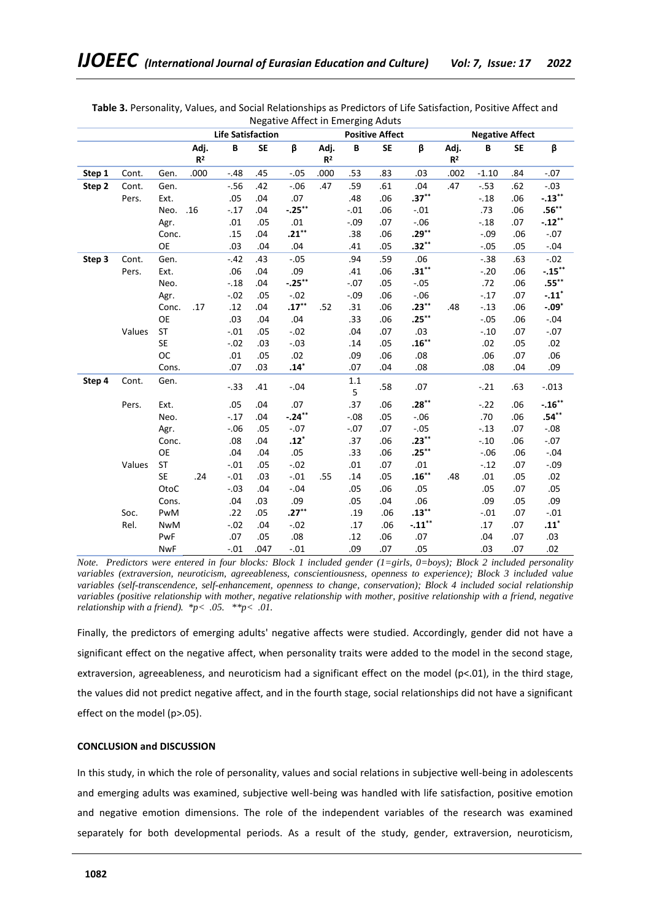|        |        | INCRAINE ATTECHT ETTERSTIR AUGUS<br><b>Life Satisfaction</b><br><b>Positive Affect</b> |                        |        |      |           |                        |              |           |          |                        | <b>Negative Affect</b> |           |                     |  |  |
|--------|--------|----------------------------------------------------------------------------------------|------------------------|--------|------|-----------|------------------------|--------------|-----------|----------|------------------------|------------------------|-----------|---------------------|--|--|
|        |        |                                                                                        | <b>SE</b><br>Adj.<br>В |        |      |           |                        |              |           |          |                        |                        |           |                     |  |  |
|        |        |                                                                                        | R <sup>2</sup>         |        |      | β         | Adj.<br>R <sup>2</sup> | B            | <b>SE</b> | β        | Adj.<br>R <sup>2</sup> | B                      | <b>SE</b> | β                   |  |  |
| Step 1 | Cont.  | Gen.                                                                                   | .000                   | $-.48$ | .45  | $-.05$    | .000                   | .53          | .83       | .03      | .002                   | $-1.10$                | .84       | $-.07$              |  |  |
| Step 2 | Cont.  | Gen.                                                                                   |                        | $-.56$ | .42  | $-0.06$   | .47                    | .59          | .61       | .04      | .47                    | $-.53$                 | .62       | $-.03$              |  |  |
|        | Pers.  | Ext.                                                                                   |                        | .05    | .04  | .07       |                        | .48          | .06       | $.37***$ |                        | $-.18$                 | .06       | $-.13***$           |  |  |
|        |        | Neo.                                                                                   | .16                    | $-.17$ | .04  | $-.25***$ |                        | $-.01$       | .06       | $-.01$   |                        | .73                    | .06       | $\mathbf{.56}^{**}$ |  |  |
|        |        | Agr.                                                                                   |                        | .01    | .05  | .01       |                        | $-.09$       | .07       | $-.06$   |                        | $-.18$                 | .07       | $-.12***$           |  |  |
|        |        | Conc.                                                                                  |                        | .15    | .04  | $.21***$  |                        | .38          | .06       | $.29***$ |                        | $-.09$                 | .06       | $-.07$              |  |  |
|        |        | <b>OE</b>                                                                              |                        | .03    | .04  | .04       |                        | .41          | .05       | $.32**$  |                        | $-.05$                 | .05       | $-.04$              |  |  |
| Step 3 | Cont.  | Gen.                                                                                   |                        | $-.42$ | .43  | $-.05$    |                        | .94          | .59       | .06      |                        | $-.38$                 | .63       | $-.02$              |  |  |
|        | Pers.  | Ext.                                                                                   |                        | .06    | .04  | .09       |                        | .41          | .06       | $.31***$ |                        | $-.20$                 | .06       | $-.15***$           |  |  |
|        |        | Neo.                                                                                   |                        | $-.18$ | .04  | $-.25***$ |                        | $-.07$       | .05       | $-.05$   |                        | .72                    | .06       | $.55***$            |  |  |
|        |        | Agr.                                                                                   |                        | $-.02$ | .05  | $-.02$    |                        | $-.09$       | .06       | $-.06$   |                        | $-.17$                 | .07       | $-.11*$             |  |  |
|        |        | Conc.                                                                                  | .17                    | .12    | .04  | $.17***$  | .52                    | .31          | .06       | $.23***$ | .48                    | $-.13$                 | .06       | $-.09*$             |  |  |
|        |        | <b>OE</b>                                                                              |                        | .03    | .04  | .04       |                        | .33          | .06       | $.25***$ |                        | $-.05$                 | .06       | $-.04$              |  |  |
|        | Values | <b>ST</b>                                                                              |                        | $-.01$ | .05  | $-.02$    |                        | .04          | .07       | .03      |                        | $-.10$                 | .07       | $-.07$              |  |  |
|        |        | <b>SE</b>                                                                              |                        | $-.02$ | .03  | $-.03$    |                        | .14          | .05       | $.16***$ |                        | .02                    | .05       | .02                 |  |  |
|        |        | <b>OC</b>                                                                              |                        | .01    | .05  | .02       |                        | .09          | .06       | .08      |                        | .06                    | .07       | .06                 |  |  |
|        |        | Cons.                                                                                  |                        | .07    | .03  | $.14*$    |                        | .07          | .04       | .08      |                        | .08                    | .04       | .09                 |  |  |
| Step 4 | Cont.  | Gen.                                                                                   |                        | $-.33$ | .41  | $-.04$    |                        | $1.1\,$<br>5 | .58       | .07      |                        | $-.21$                 | .63       | $-.013$             |  |  |
|        | Pers.  | Ext.                                                                                   |                        | .05    | .04  | .07       |                        | .37          | .06       | $.28***$ |                        | $-.22$                 | .06       | $-.16***$           |  |  |
|        |        | Neo.                                                                                   |                        | $-.17$ | .04  | $-.24**$  |                        | $-.08$       | .05       | $-.06$   |                        | .70                    | .06       | $.54***$            |  |  |
|        |        | Agr.                                                                                   |                        | $-.06$ | .05  | $-.07$    |                        | $-.07$       | .07       | $-.05$   |                        | $-.13$                 | .07       | $-.08$              |  |  |
|        |        | Conc.                                                                                  |                        | .08    | .04  | $.12*$    |                        | .37          | .06       | $.23***$ |                        | $-.10$                 | .06       | $-.07$              |  |  |
|        |        | <b>OE</b>                                                                              |                        | .04    | .04  | .05       |                        | .33          | .06       | $.25***$ |                        | $-.06$                 | .06       | $-.04$              |  |  |
|        | Values | <b>ST</b>                                                                              |                        | $-.01$ | .05  | $-.02$    |                        | .01          | .07       | .01      |                        | $-.12$                 | .07       | $-.09$              |  |  |
|        |        | <b>SE</b>                                                                              | .24                    | $-.01$ | .03  | $-.01$    | .55                    | .14          | .05       | $.16***$ | .48                    | .01                    | .05       | .02                 |  |  |
|        |        | OtoC                                                                                   |                        | $-.03$ | .04  | $-.04$    |                        | .05          | .06       | .05      |                        | .05                    | .07       | .05                 |  |  |
|        |        | Cons.                                                                                  |                        | .04    | .03  | .09       |                        | .05          | .04       | .06      |                        | .09                    | .05       | .09                 |  |  |
|        | Soc.   | PwM                                                                                    |                        | .22    | .05  | $.27***$  |                        | .19          | .06       | $.13***$ |                        | $-.01$                 | .07       | $-.01$              |  |  |
|        | Rel.   | <b>NwM</b>                                                                             |                        | $-.02$ | .04  | $-.02$    |                        | .17          | .06       | $-.11**$ |                        | .17                    | .07       | $\mathbf{.11}^{*}$  |  |  |
|        |        | PwF                                                                                    |                        | .07    | .05  | .08       |                        | .12          | .06       | .07      |                        | .04                    | .07       | .03                 |  |  |
|        |        | <b>NwF</b>                                                                             |                        | $-.01$ | .047 | $-.01$    |                        | .09          | .07       | .05      |                        | .03                    | .07       | .02                 |  |  |

**Table 3.** Personality, Values, and Social Relationships as Predictors of Life Satisfaction, Positive Affect and Negative Affect in Emerging Aduts

*Note. Predictors were entered in four blocks: Block 1 included gender (1=girls, 0=boys); Block 2 included personality variables (extraversion, neuroticism, agreeableness, conscientiousness, openness to experience); Block 3 included value variables (self-transcendence, self-enhancement, openness to change, conservation); Block 4 included social relationship variables (positive relationship with mother, negative relationship with mother, positive relationship with a friend, negative relationship with a friend). \*p< .05. \*\*p< .01.*

Finally, the predictors of emerging adults' negative affects were studied. Accordingly, gender did not have a significant effect on the negative affect, when personality traits were added to the model in the second stage, extraversion, agreeableness, and neuroticism had a significant effect on the model (p<.01), in the third stage, the values did not predict negative affect, and in the fourth stage, social relationships did not have a significant effect on the model (p>.05).

## **CONCLUSION and DISCUSSION**

In this study, in which the role of personality, values and social relations in subjective well-being in adolescents and emerging adults was examined, subjective well-being was handled with life satisfaction, positive emotion and negative emotion dimensions. The role of the independent variables of the research was examined separately for both developmental periods. As a result of the study, gender, extraversion, neuroticism,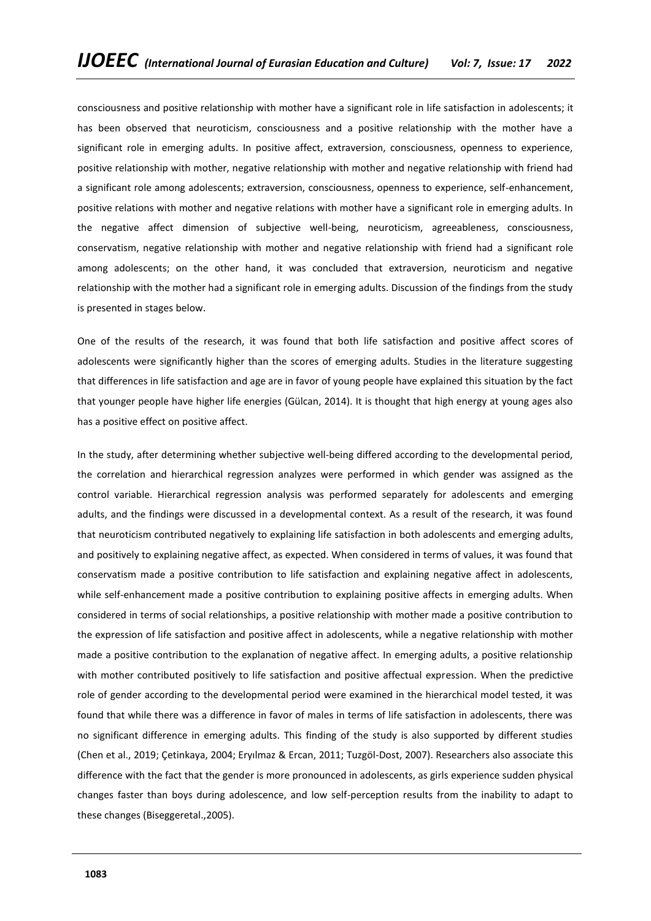consciousness and positive relationship with mother have a significant role in life satisfaction in adolescents; it has been observed that neuroticism, consciousness and a positive relationship with the mother have a significant role in emerging adults. In positive affect, extraversion, consciousness, openness to experience, positive relationship with mother, negative relationship with mother and negative relationship with friend had a significant role among adolescents; extraversion, consciousness, openness to experience, self-enhancement, positive relations with mother and negative relations with mother have a significant role in emerging adults. In the negative affect dimension of subjective well-being, neuroticism, agreeableness, consciousness, conservatism, negative relationship with mother and negative relationship with friend had a significant role among adolescents; on the other hand, it was concluded that extraversion, neuroticism and negative relationship with the mother had a significant role in emerging adults. Discussion of the findings from the study is presented in stages below.

One of the results of the research, it was found that both life satisfaction and positive affect scores of adolescents were significantly higher than the scores of emerging adults. Studies in the literature suggesting that differences in life satisfaction and age are in favor of young people have explained this situation by the fact that younger people have higher life energies (Gülcan, 2014). It is thought that high energy at young ages also has a positive effect on positive affect.

In the study, after determining whether subjective well-being differed according to the developmental period, the correlation and hierarchical regression analyzes were performed in which gender was assigned as the control variable. Hierarchical regression analysis was performed separately for adolescents and emerging adults, and the findings were discussed in a developmental context. As a result of the research, it was found that neuroticism contributed negatively to explaining life satisfaction in both adolescents and emerging adults, and positively to explaining negative affect, as expected. When considered in terms of values, it was found that conservatism made a positive contribution to life satisfaction and explaining negative affect in adolescents, while self-enhancement made a positive contribution to explaining positive affects in emerging adults. When considered in terms of social relationships, a positive relationship with mother made a positive contribution to the expression of life satisfaction and positive affect in adolescents, while a negative relationship with mother made a positive contribution to the explanation of negative affect. In emerging adults, a positive relationship with mother contributed positively to life satisfaction and positive affectual expression. When the predictive role of gender according to the developmental period were examined in the hierarchical model tested, it was found that while there was a difference in favor of males in terms of life satisfaction in adolescents, there was no significant difference in emerging adults. This finding of the study is also supported by different studies (Chen et al., 2019; Çetinkaya, 2004; Eryılmaz & Ercan, 2011; Tuzgöl-Dost, 2007). Researchers also associate this difference with the fact that the gender is more pronounced in adolescents, as girls experience sudden physical changes faster than boys during adolescence, and low self-perception results from the inability to adapt to these changes (Biseggeretal.,2005).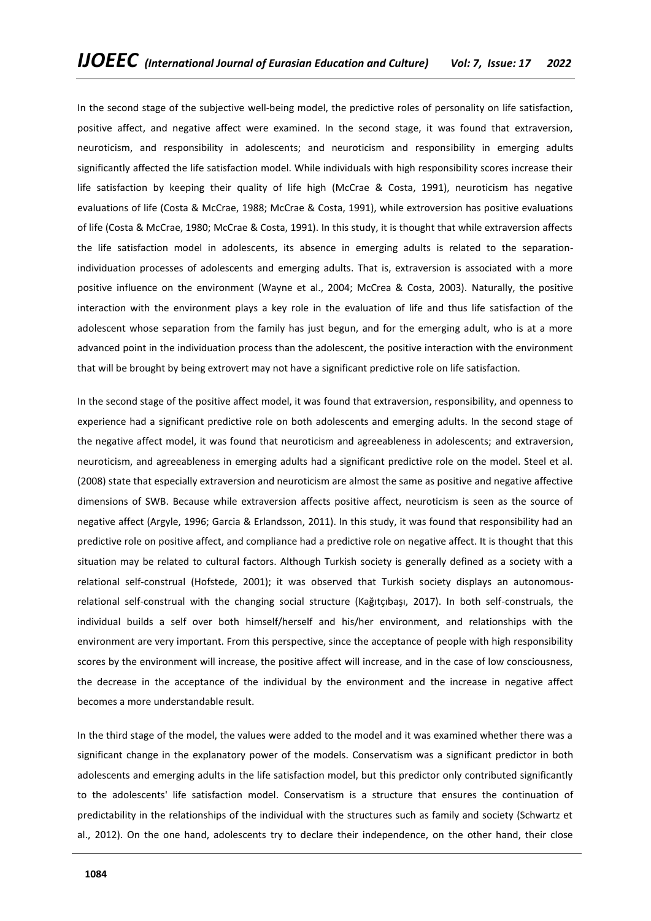In the second stage of the subjective well-being model, the predictive roles of personality on life satisfaction, positive affect, and negative affect were examined. In the second stage, it was found that extraversion, neuroticism, and responsibility in adolescents; and neuroticism and responsibility in emerging adults significantly affected the life satisfaction model. While individuals with high responsibility scores increase their life satisfaction by keeping their quality of life high (McCrae & Costa, 1991), neuroticism has negative evaluations of life (Costa & McCrae, 1988; McCrae & Costa, 1991), while extroversion has positive evaluations of life (Costa & McCrae, 1980; McCrae & Costa, 1991). In this study, it is thought that while extraversion affects the life satisfaction model in adolescents, its absence in emerging adults is related to the separationindividuation processes of adolescents and emerging adults. That is, extraversion is associated with a more positive influence on the environment (Wayne et al., 2004; McCrea & Costa, 2003). Naturally, the positive interaction with the environment plays a key role in the evaluation of life and thus life satisfaction of the adolescent whose separation from the family has just begun, and for the emerging adult, who is at a more advanced point in the individuation process than the adolescent, the positive interaction with the environment that will be brought by being extrovert may not have a significant predictive role on life satisfaction.

In the second stage of the positive affect model, it was found that extraversion, responsibility, and openness to experience had a significant predictive role on both adolescents and emerging adults. In the second stage of the negative affect model, it was found that neuroticism and agreeableness in adolescents; and extraversion, neuroticism, and agreeableness in emerging adults had a significant predictive role on the model. Steel et al. (2008) state that especially extraversion and neuroticism are almost the same as positive and negative affective dimensions of SWB. Because while extraversion affects positive affect, neuroticism is seen as the source of negative affect (Argyle, 1996; Garcia & Erlandsson, 2011). In this study, it was found that responsibility had an predictive role on positive affect, and compliance had a predictive role on negative affect. It is thought that this situation may be related to cultural factors. Although Turkish society is generally defined as a society with a relational self-construal (Hofstede, 2001); it was observed that Turkish society displays an autonomousrelational self-construal with the changing social structure (Kağıtçıbaşı, 2017). In both self-construals, the individual builds a self over both himself/herself and his/her environment, and relationships with the environment are very important. From this perspective, since the acceptance of people with high responsibility scores by the environment will increase, the positive affect will increase, and in the case of low consciousness, the decrease in the acceptance of the individual by the environment and the increase in negative affect becomes a more understandable result.

In the third stage of the model, the values were added to the model and it was examined whether there was a significant change in the explanatory power of the models. Conservatism was a significant predictor in both adolescents and emerging adults in the life satisfaction model, but this predictor only contributed significantly to the adolescents' life satisfaction model. Conservatism is a structure that ensures the continuation of predictability in the relationships of the individual with the structures such as family and society (Schwartz et al., 2012). On the one hand, adolescents try to declare their independence, on the other hand, their close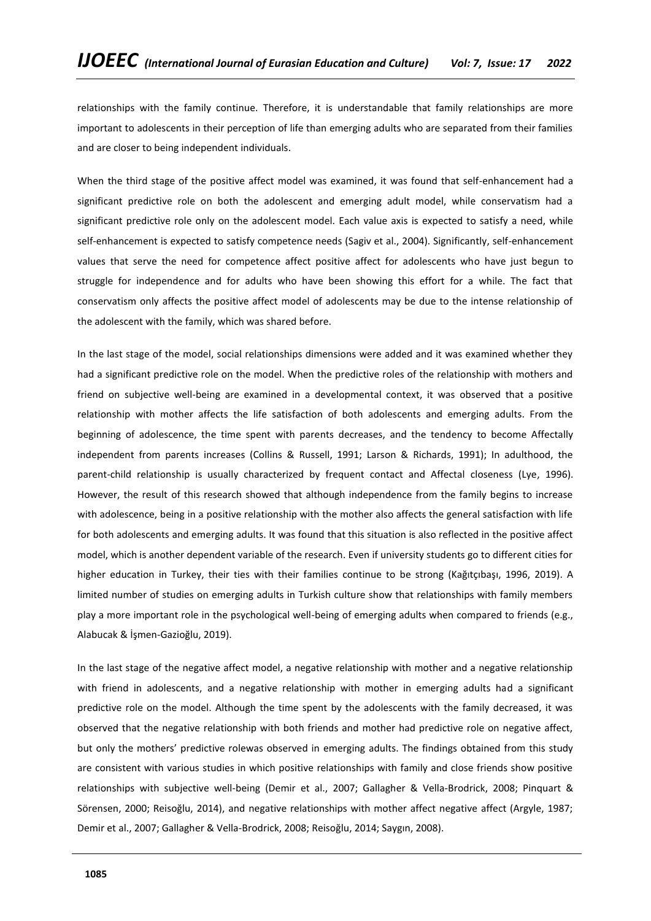relationships with the family continue. Therefore, it is understandable that family relationships are more important to adolescents in their perception of life than emerging adults who are separated from their families and are closer to being independent individuals.

When the third stage of the positive affect model was examined, it was found that self-enhancement had a significant predictive role on both the adolescent and emerging adult model, while conservatism had a significant predictive role only on the adolescent model. Each value axis is expected to satisfy a need, while self-enhancement is expected to satisfy competence needs (Sagiv et al., 2004). Significantly, self-enhancement values that serve the need for competence affect positive affect for adolescents who have just begun to struggle for independence and for adults who have been showing this effort for a while. The fact that conservatism only affects the positive affect model of adolescents may be due to the intense relationship of the adolescent with the family, which was shared before.

In the last stage of the model, social relationships dimensions were added and it was examined whether they had a significant predictive role on the model. When the predictive roles of the relationship with mothers and friend on subjective well-being are examined in a developmental context, it was observed that a positive relationship with mother affects the life satisfaction of both adolescents and emerging adults. From the beginning of adolescence, the time spent with parents decreases, and the tendency to become Affectally independent from parents increases (Collins & Russell, 1991; Larson & Richards, 1991); In adulthood, the parent-child relationship is usually characterized by frequent contact and Affectal closeness (Lye, 1996). However, the result of this research showed that although independence from the family begins to increase with adolescence, being in a positive relationship with the mother also affects the general satisfaction with life for both adolescents and emerging adults. It was found that this situation is also reflected in the positive affect model, which is another dependent variable of the research. Even if university students go to different cities for higher education in Turkey, their ties with their families continue to be strong (Kağıtçıbaşı, 1996, 2019). A limited number of studies on emerging adults in Turkish culture show that relationships with family members play a more important role in the psychological well-being of emerging adults when compared to friends (e.g., Alabucak & İşmen-Gazioğlu, 2019).

In the last stage of the negative affect model, a negative relationship with mother and a negative relationship with friend in adolescents, and a negative relationship with mother in emerging adults had a significant predictive role on the model. Although the time spent by the adolescents with the family decreased, it was observed that the negative relationship with both friends and mother had predictive role on negative affect, but only the mothers' predictive rolewas observed in emerging adults. The findings obtained from this study are consistent with various studies in which positive relationships with family and close friends show positive relationships with subjective well-being (Demir et al., 2007; Gallagher & Vella-Brodrick, 2008; Pinquart & Sörensen, 2000; Reisoğlu, 2014), and negative relationships with mother affect negative affect (Argyle, 1987; Demir et al., 2007; Gallagher & Vella-Brodrick, 2008; Reisoğlu, 2014; Saygın, 2008).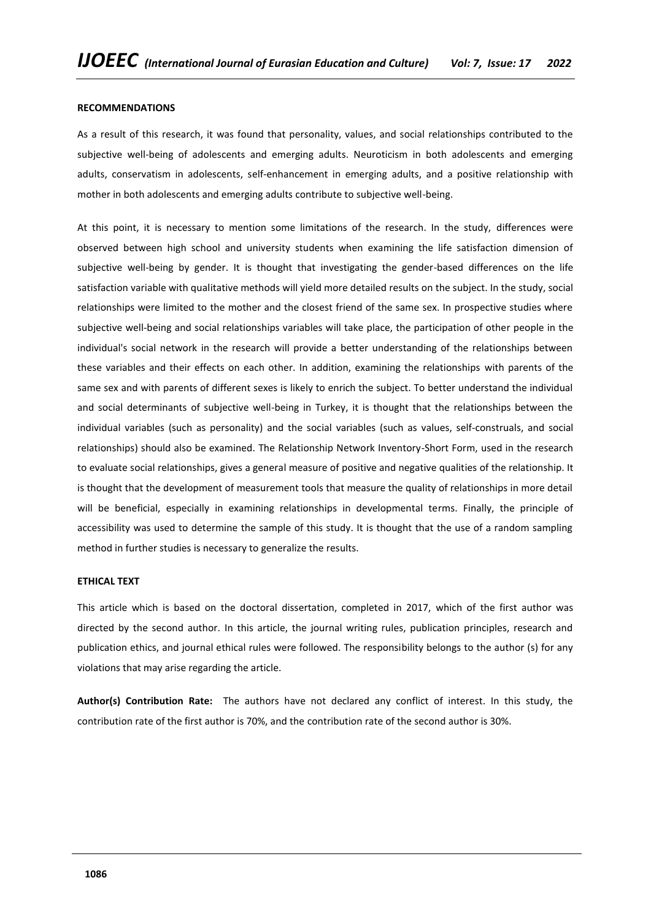## **RECOMMENDATIONS**

As a result of this research, it was found that personality, values, and social relationships contributed to the subjective well-being of adolescents and emerging adults. Neuroticism in both adolescents and emerging adults, conservatism in adolescents, self-enhancement in emerging adults, and a positive relationship with mother in both adolescents and emerging adults contribute to subjective well-being.

At this point, it is necessary to mention some limitations of the research. In the study, differences were observed between high school and university students when examining the life satisfaction dimension of subjective well-being by gender. It is thought that investigating the gender-based differences on the life satisfaction variable with qualitative methods will yield more detailed results on the subject. In the study, social relationships were limited to the mother and the closest friend of the same sex. In prospective studies where subjective well-being and social relationships variables will take place, the participation of other people in the individual's social network in the research will provide a better understanding of the relationships between these variables and their effects on each other. In addition, examining the relationships with parents of the same sex and with parents of different sexes is likely to enrich the subject. To better understand the individual and social determinants of subjective well-being in Turkey, it is thought that the relationships between the individual variables (such as personality) and the social variables (such as values, self-construals, and social relationships) should also be examined. The Relationship Network Inventory-Short Form, used in the research to evaluate social relationships, gives a general measure of positive and negative qualities of the relationship. It is thought that the development of measurement tools that measure the quality of relationships in more detail will be beneficial, especially in examining relationships in developmental terms. Finally, the principle of accessibility was used to determine the sample of this study. It is thought that the use of a random sampling method in further studies is necessary to generalize the results.

# **ETHICAL TEXT**

This article which is based on the doctoral dissertation, completed in 2017, which of the first author was directed by the second author. In this article, the journal writing rules, publication principles, research and publication ethics, and journal ethical rules were followed. The responsibility belongs to the author (s) for any violations that may arise regarding the article.

**Author(s) Contribution Rate:** The authors have not declared any conflict of interest. In this study, the contribution rate of the first author is 70%, and the contribution rate of the second author is 30%.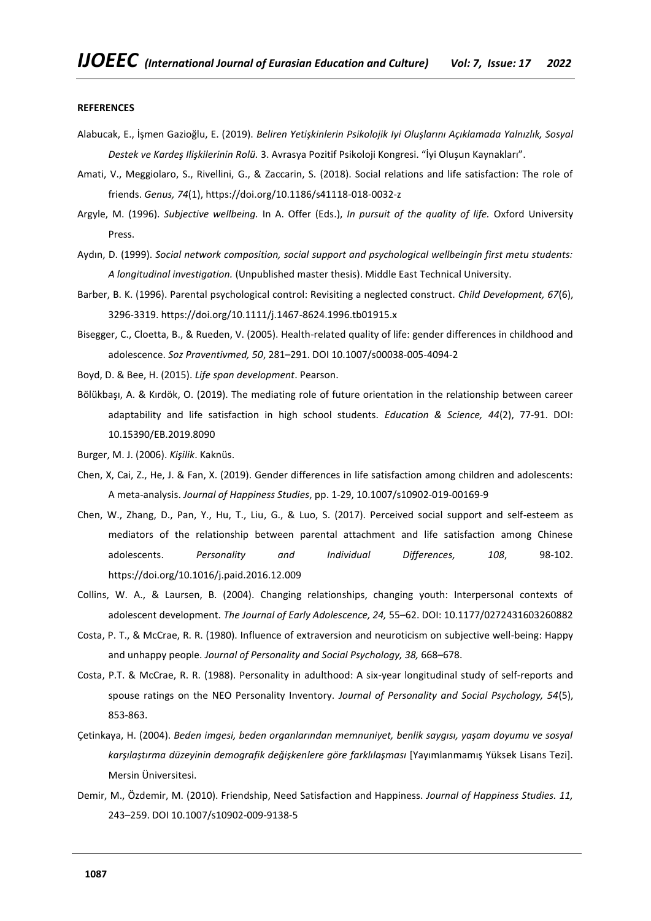#### **REFERENCES**

- Alabucak, E., İşmen Gazioğlu, E. (2019). *Beliren Yetişkinlerin Psikolojik Iyi Oluşlarını Açıklamada Yalnızlık, Sosyal Destek ve Kardeş Ilişkilerinin Rolü.* 3. Avrasya Pozitif Psikoloji Kongresi. "İyi Oluşun Kaynakları".
- Amati, V., Meggiolaro, S., Rivellini, G., & Zaccarin, S. (2018). Social relations and life satisfaction: The role of friends. *Genus, 74*(1), https://doi.org/10.1186/s41118-018-0032-z
- Argyle, M. (1996). *Subjective wellbeing.* In A. Offer (Eds.), *In pursuit of the quality of life.* Oxford University Press.
- Aydın, D. (1999). *Social network composition, social support and psychological wellbeingin first metu students: A longitudinal investigation.* (Unpublished master thesis). Middle East Technical University.
- Barber, B. K. (1996). Parental psychological control: Revisiting a neglected construct. *Child Development, 67*(6), 3296-3319[. https://doi.org/10.1111/j.1467-8624.1996.tb01915.x](https://doi.org/10.1111/j.1467-8624.1996.tb01915.x)
- Bisegger, C., Cloetta, B., & Rueden, V. (2005). Health-related quality of life: gender differences in childhood and adolescence. *Soz Praventivmed, 50*, 281–291. DOI 10.1007/s00038-005-4094-2
- Boyd, D. & Bee, H. (2015). *Life span development*. Pearson.
- Bölükbaşı, A. & Kırdök, O. (2019). The mediating role of future orientation in the relationship between career adaptability and life satisfaction in high school students. *Education & Science, 44*(2), 77-91. DOI: 10.15390/EB.2019.8090
- Burger, M. J. (2006). *Kişilik*. Kaknüs.
- Chen, X, Cai, Z., He, J. & Fan, X. (2019). Gender differences in life satisfaction among children and adolescents: A meta-analysis. *Journal of Happiness Studies*, pp. 1-29, 10.1007/s10902-019-00169-9
- Chen, W., Zhang, D., Pan, Y., Hu, T., Liu, G., & Luo, S. (2017). Perceived social support and self-esteem as mediators of the relationship between parental attachment and life satisfaction among Chinese adolescents. *Personality and Individual Differences, 108*, 98-102. <https://doi.org/10.1016/j.paid.2016.12.009>
- Collins, W. A., & Laursen, B. (2004). Changing relationships, changing youth: Interpersonal contexts of adolescent development. *The Journal of Early Adolescence, 24,* 55–62. DOI: 10.1177/0272431603260882
- Costa, P. T., & McCrae, R. R. (1980). Influence of extraversion and neuroticism on subjective well-being: Happy and unhappy people. *Journal of Personality and Social Psychology, 38,* 668–678.
- Costa, P.T. & McCrae, R. R. (1988). Personality in adulthood: A six-year longitudinal study of self-reports and spouse ratings on the NEO Personality Inventory. *Journal of Personality and Social Psychology, 54*(5), 853-863.
- Çetinkaya, H. (2004). *Beden imgesi, beden organlarından memnuniyet, benlik saygısı, yaşam doyumu ve sosyal karşılaştırma düzeyinin demografik değişkenlere göre farklılaşması* [Yayımlanmamış Yüksek Lisans Tezi]. Mersin Üniversitesi.
- Demir, M., Özdemir, M. (2010). Friendship, Need Satisfaction and Happiness. *Journal of Happiness Studies. 11,* 243–259. DOI 10.1007/s10902-009-9138-5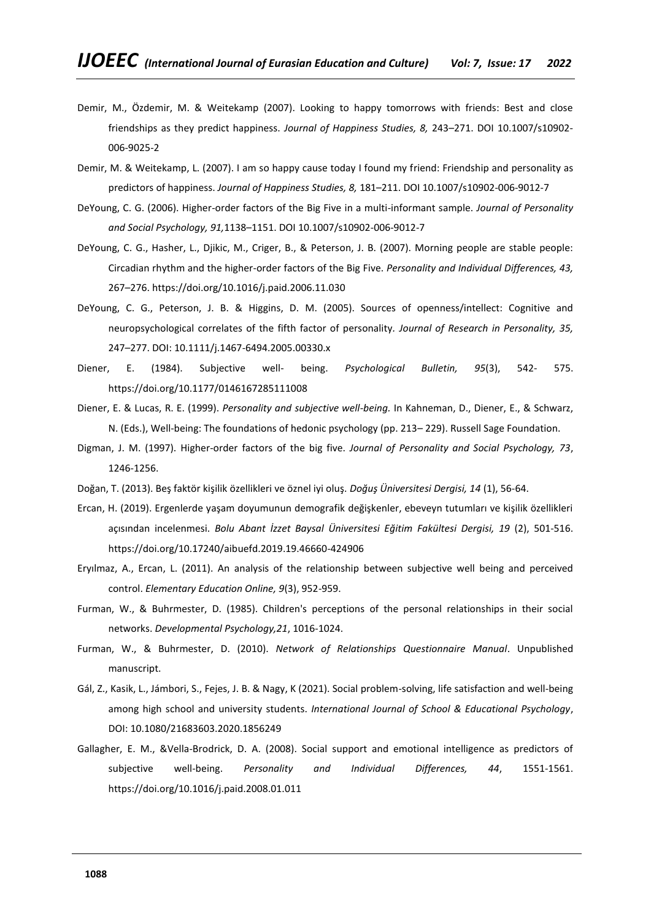- Demir, M., Özdemir, M. & Weitekamp (2007). Looking to happy tomorrows with friends: Best and close friendships as they predict happiness. *Journal of Happiness Studies, 8,* 243–271. DOI 10.1007/s10902- 006-9025-2
- Demir, M. & Weitekamp, L. (2007). I am so happy cause today I found my friend: Friendship and personality as predictors of happiness. *Journal of Happiness Studies, 8,* 181–211. DOI 10.1007/s10902-006-9012-7
- DeYoung, C. G. (2006). Higher-order factors of the Big Five in a multi-informant sample. *Journal of Personality and Social Psychology, 91,*1138–1151. DOI 10.1007/s10902-006-9012-7
- DeYoung, C. G., Hasher, L., Djikic, M., Criger, B., & Peterson, J. B. (2007). Morning people are stable people: Circadian rhythm and the higher-order factors of the Big Five. *Personality and Individual Differences, 43,* 267–276.<https://doi.org/10.1016/j.paid.2006.11.030>
- DeYoung, C. G., Peterson, J. B. & Higgins, D. M. (2005). Sources of openness/intellect: Cognitive and neuropsychological correlates of the fifth factor of personality*. Journal of Research in Personality, 35,* 247–277. DOI: 10.1111/j.1467-6494.2005.00330.x
- Diener, E. (1984). Subjective well- being. *Psychological Bulletin, 95*(3), 542- 575. [https://doi.org/10.1177/0146167285111008](https://doi.org/10.1177%2F0146167285111008)
- Diener, E. & Lucas, R. E. (1999). *Personality and subjective well-being.* In Kahneman, D., Diener, E., & Schwarz, N. (Eds.), Well-being: The foundations of hedonic psychology (pp. 213– 229). Russell Sage Foundation.
- Digman, J. M. (1997). Higher-order factors of the big five. *Journal of Personality and Social Psychology, 73*, 1246-1256.
- Doğan, T. (2013). Beş faktör kişilik özellikleri ve öznel iyi oluş. *Doğuş Üniversitesi Dergisi, 14* (1), 56-64.
- Ercan, H. (2019). Ergenlerde yaşam doyumunun demografik değişkenler, ebeveyn tutumları ve kişilik özellikleri açısından incelenmesi. *Bolu Abant İzzet Baysal Üniversitesi Eğitim Fakültesi Dergisi, 19* (2), 501-516. <https://doi.org/10.17240/aibuefd.2019.19.46660-424906>
- Eryılmaz, A., Ercan, L. (2011). An analysis of the relationship between subjective well being and perceived control. *Elementary Education Online, 9*(3), 952-959.
- Furman, W., & Buhrmester, D. (1985). Children's perceptions of the personal relationships in their social networks. *Developmental Psychology,21*, 1016-1024.
- Furman, W., & Buhrmester, D. (2010). *Network of Relationships Questionnaire Manual*. Unpublished manuscript.
- Gál, Z., Kasik, L., Jámbori, S., Fejes, J. B. & Nagy, K (2021). Social problem-solving, life satisfaction and well-being among high school and university students. *International Journal of School & Educational Psychology*, DOI: 10.1080/21683603.2020.1856249
- Gallagher, E. M., &Vella-Brodrick, D. A. (2008). Social support and emotional intelligence as predictors of subjective well-being. *Personality and Individual Differences, 44*, 1551-1561. <https://doi.org/10.1016/j.paid.2008.01.011>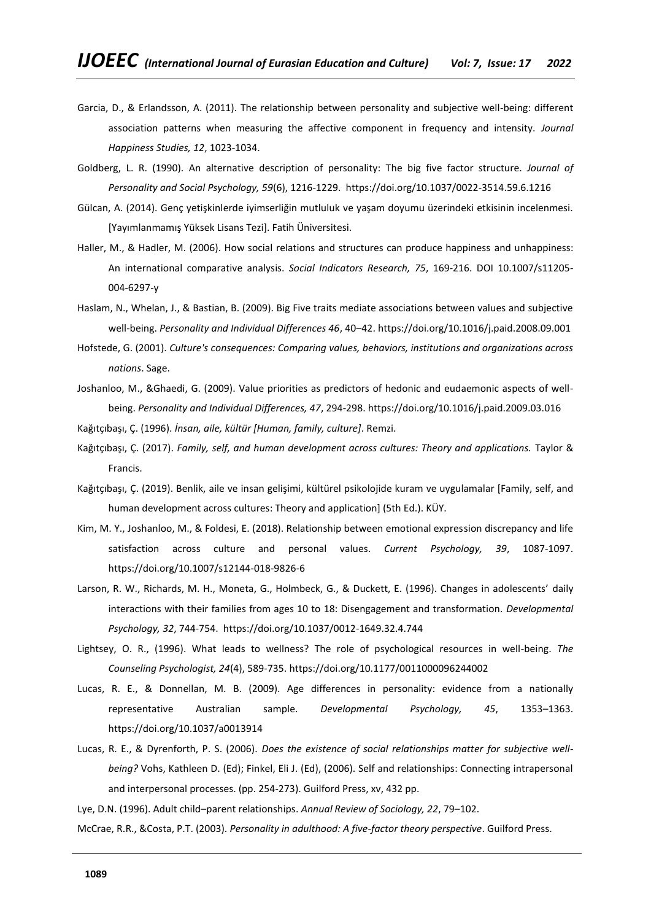- Garcia, D., & Erlandsson, A. (2011). The relationship between personality and subjective well-being: different association patterns when measuring the affective component in frequency and intensity. *Journal Happiness Studies, 12*, 1023-1034.
- Goldberg, L. R. (1990). An alternative description of personality: The big five factor structure. *Journal of Personality and Social Psychology, 59*(6), 1216-1229. [https://doi.org/10.1037/0022-3514.59.6.1216](https://psycnet.apa.org/doi/10.1037/0022-3514.59.6.1216)
- Gülcan, A. (2014). Genç yetişkinlerde iyimserliğin mutluluk ve yaşam doyumu üzerindeki etkisinin incelenmesi. [Yayımlanmamış Yüksek Lisans Tezi]. Fatih Üniversitesi.
- Haller, M., & Hadler, M. (2006). How social relations and structures can produce happiness and unhappiness: An international comparative analysis. *Social Indicators Research, 75*, 169-216. DOI 10.1007/s11205- 004-6297-y
- Haslam, N., Whelan, J., & Bastian, B. (2009). Big Five traits mediate associations between values and subjective well-being. *Personality and Individual Differences 46*, 40–42.<https://doi.org/10.1016/j.paid.2008.09.001>
- Hofstede, G. (2001). *Culture's consequences: Comparing values, behaviors, institutions and organizations across nations*. Sage.
- Joshanloo, M., &Ghaedi, G. (2009). Value priorities as predictors of hedonic and eudaemonic aspects of wellbeing. *Personality and Individual Differences, 47*, 294-298[. https://doi.org/10.1016/j.paid.2009.03.016](https://doi.org/10.1016/j.paid.2009.03.016)
- Kağıtçıbaşı, Ç. (1996). *İnsan, aile, kültür [Human, family, culture]*. Remzi.
- Kağıtçıbaşı, Ç. (2017). *Family, self, and human development across cultures: Theory and applications.* Taylor & Francis.
- Kağıtçıbaşı, Ç. (2019). Benlik, aile ve insan gelişimi, kültürel psikolojide kuram ve uygulamalar [Family, self, and human development across cultures: Theory and application] (5th Ed.). KÜY.
- Kim, M. Y., Joshanloo, M., & Foldesi, E. (2018). Relationship between emotional expression discrepancy and life satisfaction across culture and personal values. *Current Psychology, 39*, 1087-1097. https://doi.org/10.1007/s12144-018-9826-6
- Larson, R. W., Richards, M. H., Moneta, G., Holmbeck, G., & Duckett, E. (1996). Changes in adolescents' daily interactions with their families from ages 10 to 18: Disengagement and transformation. *Developmental Psychology, 32*, 744-754. [https://doi.org/10.1037/0012-1649.32.4.744](https://psycnet.apa.org/doi/10.1037/0012-1649.32.4.744)
- Lightsey, O. R., (1996). What leads to wellness? The role of psychological resources in well-being. *The Counseling Psychologist, 24*(4), 589-735[. https://doi.org/10.1177/0011000096244002](https://doi.org/10.1177%2F0011000096244002)
- Lucas, R. E., & Donnellan, M. B. (2009). Age differences in personality: evidence from a nationally representative Australian sample. *Developmental Psychology, 45*, 1353–1363. https://doi.org/10.1037/a0013914
- Lucas, R. E., & Dyrenforth, P. S. (2006). *Does the existence of social relationships matter for subjective wellbeing?* Vohs, Kathleen D. (Ed); Finkel, Eli J. (Ed), (2006). Self and relationships: Connecting intrapersonal and interpersonal processes. (pp. 254-273). Guilford Press, xv, 432 pp.
- Lye, D.N. (1996). Adult child–parent relationships. *Annual Review of Sociology, 22*, 79–102.

McCrae, R.R., &Costa, P.T. (2003). *Personality in adulthood: A five-factor theory perspective*. Guilford Press.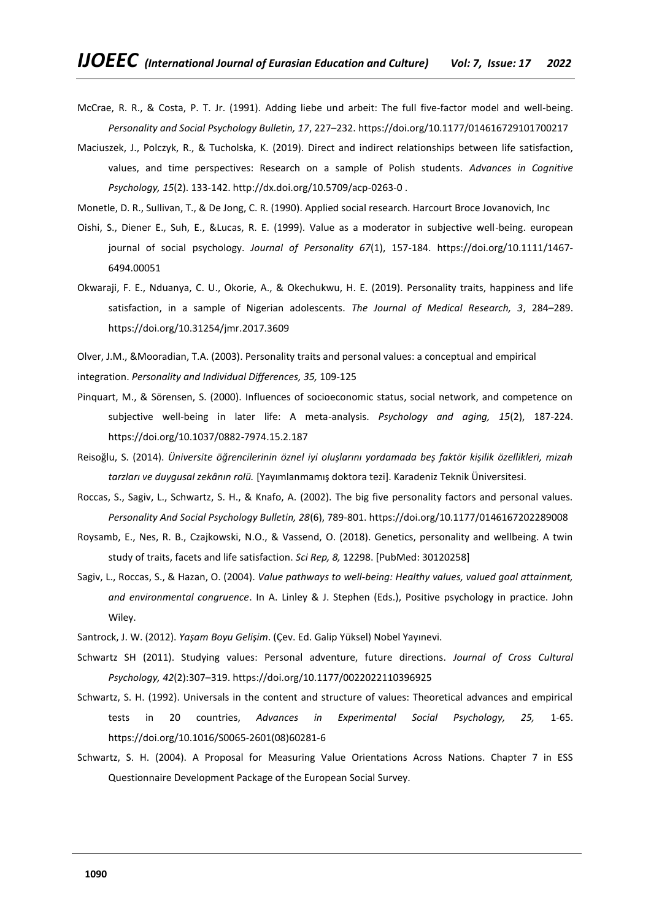- McCrae, R. R., & Costa, P. T. Jr. (1991). Adding liebe und arbeit: The full five-factor model and well-being. *Personality and Social Psychology Bulletin, 17*, 227–232. [https://doi.org/10.1177/014616729101700217](https://doi.org/10.1177%2F014616729101700217)
- Maciuszek, J., Polczyk, R., & Tucholska, K. (2019). Direct and indirect relationships between life satisfaction, values, and time perspectives: Research on a sample of Polish students. *Advances in Cognitive Psychology, 15*(2). 133-142. http://dx.doi.org/10.5709/acp-0263-0 .
- Monetle, D. R., Sullivan, T., & De Jong, C. R. (1990). Applied social research. Harcourt Broce Jovanovich, Inc
- Oishi, S., Diener E., Suh, E., &Lucas, R. E. (1999). Value as a moderator in subjective well-being. european journal of social psychology. *Journal of Personality 67*(1), 157-184. [https://doi.org/10.1111/1467-](https://doi.org/10.1111/1467-6494.00051) [6494.00051](https://doi.org/10.1111/1467-6494.00051)
- Okwaraji, F. E., Nduanya, C. U., Okorie, A., & Okechukwu, H. E. (2019). Personality traits, happiness and life satisfaction, in a sample of Nigerian adolescents. *The Journal of Medical Research, 3*, 284–289. <https://doi.org/10.31254/jmr.2017.3609>

Olver, J.M., &Mooradian, T.A. (2003). Personality traits and personal values: a conceptual and empirical integration. *Personality and Individual Differences, 35,* 109-125

- Pinquart, M., & Sörensen, S. (2000). Influences of socioeconomic status, social network, and competence on subjective well-being in later life: A meta-analysis. *Psychology and aging, 15*(2), 187-224. [https://doi.org/10.1037/0882-7974.15.2.187](https://psycnet.apa.org/doi/10.1037/0882-7974.15.2.187)
- Reisoğlu, S. (2014). *Üniversite öğrencilerinin öznel iyi oluşlarını yordamada beş faktör kişilik özellikleri, mizah tarzları ve duygusal zekânın rolü.* [Yayımlanmamış doktora tezi]. Karadeniz Teknik Üniversitesi.
- Roccas, S., Sagiv, L., Schwartz, S. H., & Knafo, A. (2002). The big five personality factors and personal values. *Personality And Social Psychology Bulletin, 28*(6), 789-801[. https://doi.org/10.1177/0146167202289008](https://doi.org/10.1177%2F0146167202289008)
- Roysamb, E., Nes, R. B., Czajkowski, N.O., & Vassend, O. (2018). Genetics, personality and wellbeing. A twin study of traits, facets and life satisfaction. *Sci Rep, 8,* 12298. [PubMed: 30120258]
- Sagiv, L., Roccas, S., & Hazan, O. (2004). *Value pathways to well-being: Healthy values, valued goal attainment, and environmental congruence*. In A. Linley & J. Stephen (Eds.), Positive psychology in practice. John Wiley.
- Santrock, J. W. (2012). *Yaşam Boyu Gelişim*. (Çev. Ed. Galip Yüksel) Nobel Yayınevi.
- Schwartz SH (2011). Studying values: Personal adventure, future directions. *Journal of Cross Cultural Psychology, 42*(2):307–319. [https://doi.org/10.1177/0022022110396925](https://doi.org/10.1177%2F0022022110396925)
- Schwartz, S. H. (1992). Universals in the content and structure of values: Theoretical advances and empirical tests in 20 countries, *Advances in Experimental Social Psychology, 25,* 1-65. [https://doi.org/10.1016/S0065-2601\(08\)60281-6](https://doi.org/10.1016/S0065-2601(08)60281-6)
- Schwartz, S. H. (2004). A Proposal for Measuring Value Orientations Across Nations. Chapter 7 in ESS Questionnaire Development Package of the European Social Survey.